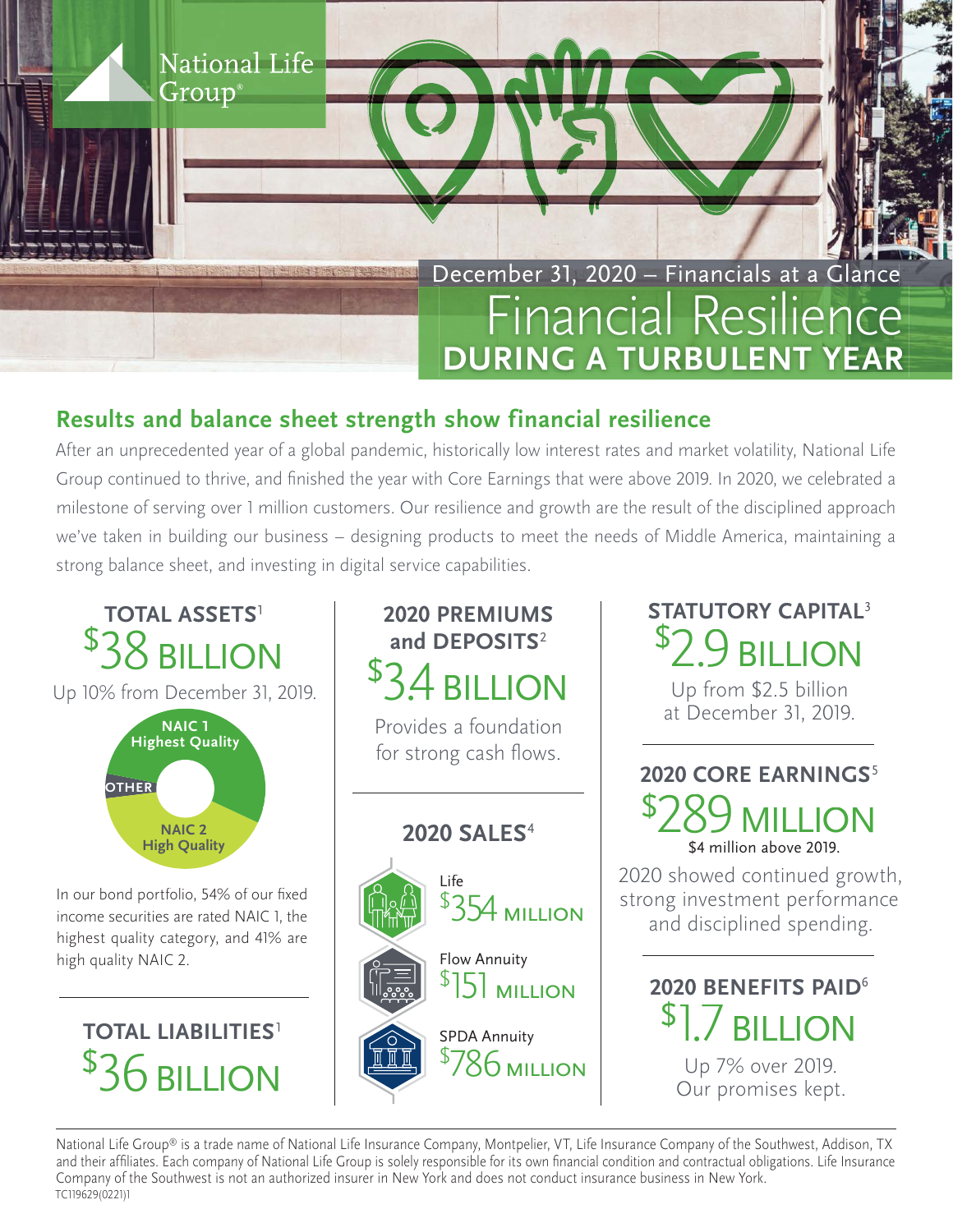

## **Results and balance sheet strength show financial resilience**

After an unprecedented year of a global pandemic, historically low interest rates and market volatility, National Life Group continued to thrive, and finished the year with Core Earnings that were above 2019. In 2020, we celebrated a milestone of serving over 1 million customers. Our resilience and growth are the result of the disciplined approach we've taken in building our business – designing products to meet the needs of Middle America, maintaining a strong balance sheet, and investing in digital service capabilities.



National Life Group® is a trade name of National Life Insurance Company, Montpelier, VT, Life Insurance Company of the Southwest, Addison, TX and their affiliates. Each company of National Life Group is solely responsible for its own financial condition and contractual obligations. Life Insurance Company of the Southwest is not an authorized insurer in New York and does not conduct insurance business in New York. TC119629(0221)1